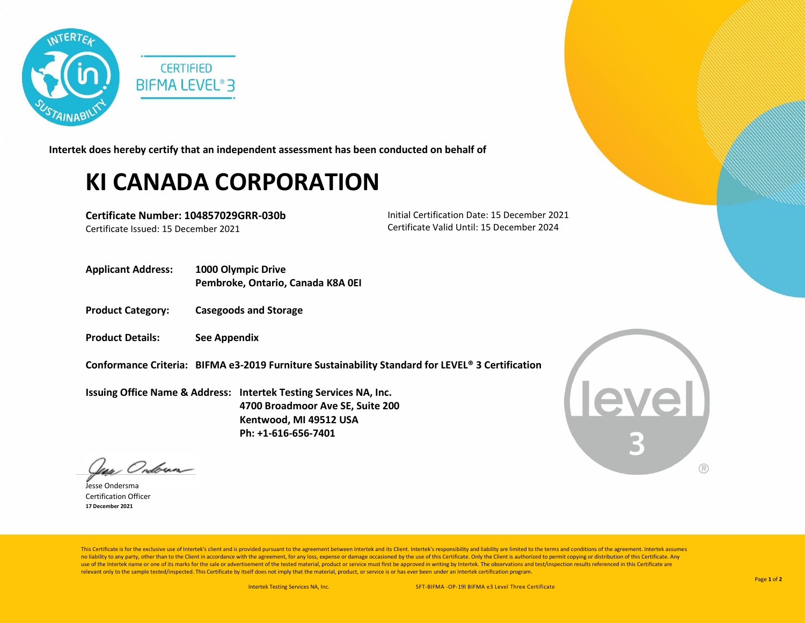

**Intertek does hereby certify that an independent assessment has been conducted on behalf of**

## **KI CANADA CORPORATION**

**Certificate Number: 104857029GRR-030b** Certificate Issued: 15 December 2021

Initial Certification Date: 15 December 2021 Certificate Valid Until: 15 December 2024

- **Applicant Address: 1000 Olympic Drive Pembroke, Ontario, Canada K8A 0EI**
- **Product Category: Casegoods and Storage**
- **Product Details: See Appendix**
- **Conformance Criteria: BIFMA e3-2019 Furniture Sustainability Standard for LEVEL® 3 Certification**

**Issuing Office Name & Address: Intertek Testing Services NA, Inc. 4700 Broadmoor Ave SE, Suite 200 Kentwood, MI 49512 USA Ph: +1-616-656-7401**

**Level**  $( R )$ 

: Onbrun-

Jesse Ondersma Certification Officer **17 December 2021**

This Certificate is for the exclusive use of Intertek's client and is provided pursuant to the agreement between Intertek and its Client. Intertek's responsibility and liability are limited to the terms and conditions of t no liability to any party, other than to the Client in accordance with the agreement, for any loss, expense or damage occasioned by the use of this Certificate. Only the Client is authorized to permit copying or distributi use of the Intertek name or one of its marks for the sale or advertisement of the tested material, product or service must first be approved in writing by Intertek. The observations and test/inspection results referenced i relevant only to the sample tested/inspected. This Certificate by itself does not imply that the material, product, or service is or has ever been under an Intertek certification program.